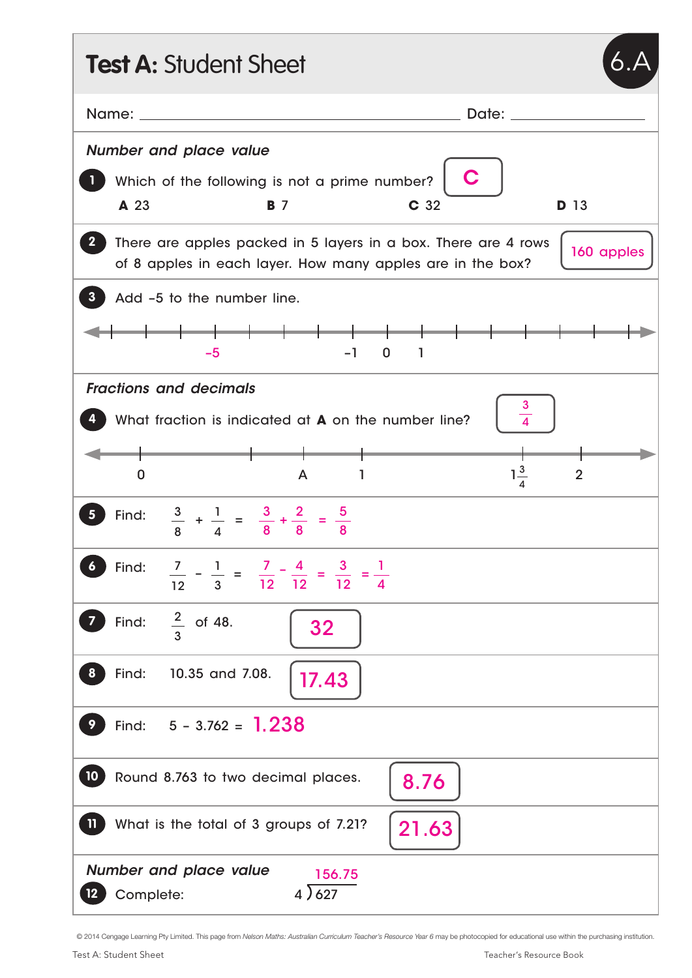| <b>Test A: Student Sheet</b>                                                                                                                                 |  |  |  |  |  |
|--------------------------------------------------------------------------------------------------------------------------------------------------------------|--|--|--|--|--|
| Date: $\qquad \qquad$                                                                                                                                        |  |  |  |  |  |
| <b>Number and place value</b>                                                                                                                                |  |  |  |  |  |
| C<br>Which of the following is not a prime number?                                                                                                           |  |  |  |  |  |
| C 32<br><b>D</b> 13<br>A 23<br><b>B</b> 7                                                                                                                    |  |  |  |  |  |
| There are apples packed in 5 layers in a box. There are 4 rows<br>$\mathbf{2}^-$<br>160 apples<br>of 8 apples in each layer. How many apples are in the box? |  |  |  |  |  |
| Add -5 to the number line.<br>3                                                                                                                              |  |  |  |  |  |
| $-5$<br>-1<br>$\mathbf 0$<br>$\mathbf{1}$                                                                                                                    |  |  |  |  |  |
| <b>Fractions and decimals</b>                                                                                                                                |  |  |  |  |  |
| $\frac{3}{4}$<br>What fraction is indicated at <b>A</b> on the number line?                                                                                  |  |  |  |  |  |
| $1\frac{3}{4}$<br>$\overline{2}$<br>0<br>A<br>ı                                                                                                              |  |  |  |  |  |
| $\frac{3}{8} + \frac{1}{4} = \frac{3}{8} + \frac{2}{8} = \frac{5}{8}$<br>Find:                                                                               |  |  |  |  |  |
| $\frac{7}{12} - \frac{1}{3} = \frac{7}{12} - \frac{4}{12} = \frac{3}{12} = \frac{1}{4}$<br>Find:<br>6                                                        |  |  |  |  |  |
| $rac{2}{3}$ of 48.<br>$\overline{\mathbf{z}}$<br>Find:<br>32                                                                                                 |  |  |  |  |  |
| Find:<br>10.35 and 7.08.<br>8 <sup>°</sup><br>17.43                                                                                                          |  |  |  |  |  |
| $5 - 3.762 = 1.238$<br>9<br>Find:                                                                                                                            |  |  |  |  |  |
| $\begin{pmatrix} 10 \end{pmatrix}$<br>Round 8.763 to two decimal places.<br>8.76                                                                             |  |  |  |  |  |
| <b>TD</b><br>What is the total of 3 groups of 7.21?<br>21.63                                                                                                 |  |  |  |  |  |
| <b>Number and place value</b><br>156.75<br>4)627<br>Complete:                                                                                                |  |  |  |  |  |

© 2014 Cengage Learning Pty Limited. This page from *Nelson Maths: Australian Curriculum Teacher's Resource Year 6* may be photocopied for educational use within the purchasing institution.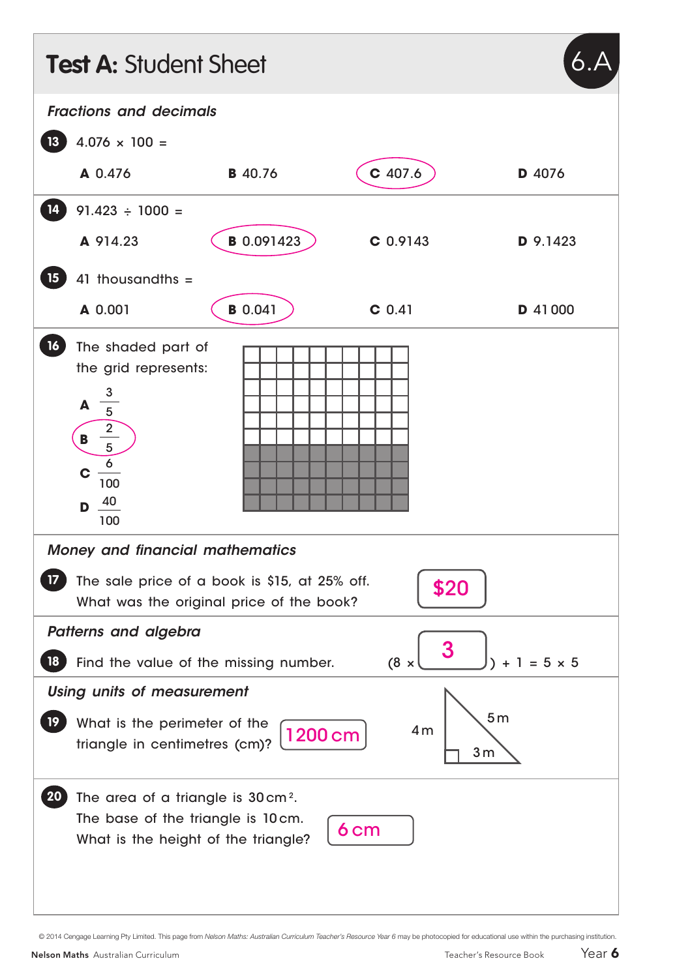|                               | <b>Test A: Student Sheet</b>                                                                                                                                                                                                 |                   |            |          |  |
|-------------------------------|------------------------------------------------------------------------------------------------------------------------------------------------------------------------------------------------------------------------------|-------------------|------------|----------|--|
| <b>Fractions and decimals</b> |                                                                                                                                                                                                                              |                   |            |          |  |
| 13                            | $4.076 \times 100 =$                                                                                                                                                                                                         |                   |            |          |  |
|                               | A 0.476                                                                                                                                                                                                                      | <b>B</b> 40.76    | C 407.6    | D 4076   |  |
| 14                            | $91.423 \div 1000 =$                                                                                                                                                                                                         |                   |            |          |  |
|                               | A 914.23                                                                                                                                                                                                                     | <b>B</b> 0.091423 | $C$ 0.9143 | D 9.1423 |  |
| 15 <sub>15</sub>              | 41 thousandths $=$                                                                                                                                                                                                           |                   |            |          |  |
|                               | A 0.001                                                                                                                                                                                                                      | <b>B</b> 0.041    | $C$ 0.41   | D 41000  |  |
| 16                            | The shaded part of<br>the grid represents:<br>$\frac{1}{5}$<br>A<br>$\begin{array}{c}\n\overline{)2} \\ \hline\n5\n\end{array}$<br>$\frac{6}{100}$<br>C<br>$D \frac{40}{ }$<br>100<br><b>Money and financial mathematics</b> |                   |            |          |  |
|                               | The sale price of a book is \$15, at 25% off.<br>\$20<br>What was the original price of the book?                                                                                                                            |                   |            |          |  |
| Patterns and algebra          |                                                                                                                                                                                                                              |                   |            |          |  |
| 18                            | 3<br>$(8 \times$<br>$+ 1 = 5 \times 5$<br>Find the value of the missing number.                                                                                                                                              |                   |            |          |  |
| 19 <sup>°</sup>               | <b>Using units of measurement</b><br>5 <sub>m</sub><br>What is the perimeter of the<br>4 <sub>m</sub><br>1200 cm<br>triangle in centimetres (cm)?<br>3 <sub>m</sub>                                                          |                   |            |          |  |
| <b>20</b>                     | The area of a triangle is 30 cm <sup>2</sup> .<br>The base of the triangle is 10cm.<br>6 <sub>cm</sub><br>What is the height of the triangle?                                                                                |                   |            |          |  |